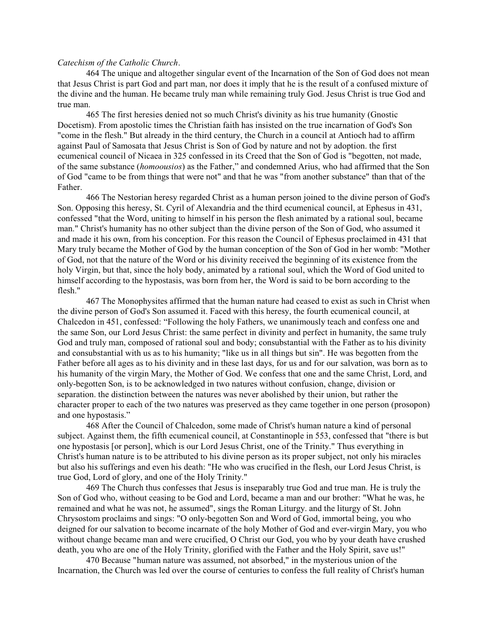## *Catechism of the Catholic Church*.

464 The unique and altogether singular event of the Incarnation of the Son of God does not mean that Jesus Christ is part God and part man, nor does it imply that he is the result of a confused mixture of the divine and the human. He became truly man while remaining truly God. Jesus Christ is true God and true man.

465 The first heresies denied not so much Christ's divinity as his true humanity (Gnostic Docetism). From apostolic times the Christian faith has insisted on the true incarnation of God's Son "come in the flesh." But already in the third century, the Church in a council at Antioch had to affirm against Paul of Samosata that Jesus Christ is Son of God by nature and not by adoption. the first ecumenical council of Nicaea in 325 confessed in its Creed that the Son of God is "begotten, not made, of the same substance (*homoousios*) as the Father," and condemned Arius, who had affirmed that the Son of God "came to be from things that were not" and that he was "from another substance" than that of the Father.

466 The Nestorian heresy regarded Christ as a human person joined to the divine person of God's Son. Opposing this heresy, St. Cyril of Alexandria and the third ecumenical council, at Ephesus in 431, confessed "that the Word, uniting to himself in his person the flesh animated by a rational soul, became man." Christ's humanity has no other subject than the divine person of the Son of God, who assumed it and made it his own, from his conception. For this reason the Council of Ephesus proclaimed in 431 that Mary truly became the Mother of God by the human conception of the Son of God in her womb: "Mother of God, not that the nature of the Word or his divinity received the beginning of its existence from the holy Virgin, but that, since the holy body, animated by a rational soul, which the Word of God united to himself according to the hypostasis, was born from her, the Word is said to be born according to the flesh."

467 The Monophysites affirmed that the human nature had ceased to exist as such in Christ when the divine person of God's Son assumed it. Faced with this heresy, the fourth ecumenical council, at Chalcedon in 451, confessed: "Following the holy Fathers, we unanimously teach and confess one and the same Son, our Lord Jesus Christ: the same perfect in divinity and perfect in humanity, the same truly God and truly man, composed of rational soul and body; consubstantial with the Father as to his divinity and consubstantial with us as to his humanity; "like us in all things but sin". He was begotten from the Father before all ages as to his divinity and in these last days, for us and for our salvation, was born as to his humanity of the virgin Mary, the Mother of God. We confess that one and the same Christ, Lord, and only-begotten Son, is to be acknowledged in two natures without confusion, change, division or separation. the distinction between the natures was never abolished by their union, but rather the character proper to each of the two natures was preserved as they came together in one person (prosopon) and one hypostasis."

468 After the Council of Chalcedon, some made of Christ's human nature a kind of personal subject. Against them, the fifth ecumenical council, at Constantinople in 553, confessed that "there is but one hypostasis [or person], which is our Lord Jesus Christ, one of the Trinity." Thus everything in Christ's human nature is to be attributed to his divine person as its proper subject, not only his miracles but also his sufferings and even his death: "He who was crucified in the flesh, our Lord Jesus Christ, is true God, Lord of glory, and one of the Holy Trinity."

469 The Church thus confesses that Jesus is inseparably true God and true man. He is truly the Son of God who, without ceasing to be God and Lord, became a man and our brother: "What he was, he remained and what he was not, he assumed", sings the Roman Liturgy. and the liturgy of St. John Chrysostom proclaims and sings: "O only-begotten Son and Word of God, immortal being, you who deigned for our salvation to become incarnate of the holy Mother of God and ever-virgin Mary, you who without change became man and were crucified, O Christ our God, you who by your death have crushed death, you who are one of the Holy Trinity, glorified with the Father and the Holy Spirit, save us!"

470 Because "human nature was assumed, not absorbed," in the mysterious union of the Incarnation, the Church was led over the course of centuries to confess the full reality of Christ's human